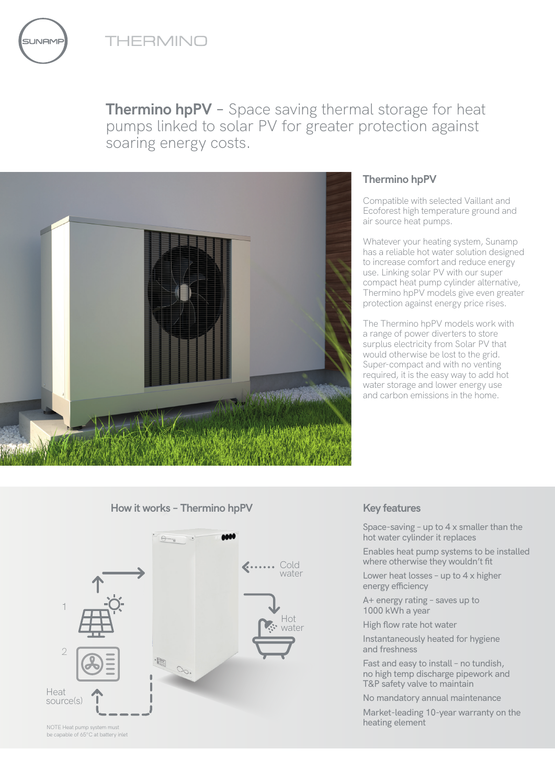

**JNAME** 





# **Thermino hpPV**

Compatible with selected Vaillant and Ecoforest high temperature ground and air source heat pumps.

Whatever your heating system, Sunamp has a reliable hot water solution designed to increase comfort and reduce energy use. Linking solar PV with our super compact heat pump cylinder alternative, Thermino hpPV models give even greater protection against energy price rises.

The Thermino hpPV models work with a range of power diverters to store surplus electricity from Solar PV that would otherwise be lost to the grid. Super-compact and with no venting required, it is the easy way to add hot water storage and lower energy use and carbon emissions in the home.

### **How it works – Thermino hpPV Key features**



Space-saving – up to 4 x smaller than the hot water cylinder it replaces

Enables heat pump systems to be installed where otherwise they wouldn't fit

Lower heat losses – up to 4 x higher energy efficiency

A+ energy rating – saves up to 1000 kWh a year

High flow rate hot water

Instantaneously heated for hygiene and freshness

Fast and easy to install – no tundish, no high temp discharge pipework and T&P safety valve to maintain

No mandatory annual maintenance

Market-leading 10-year warranty on the heating element